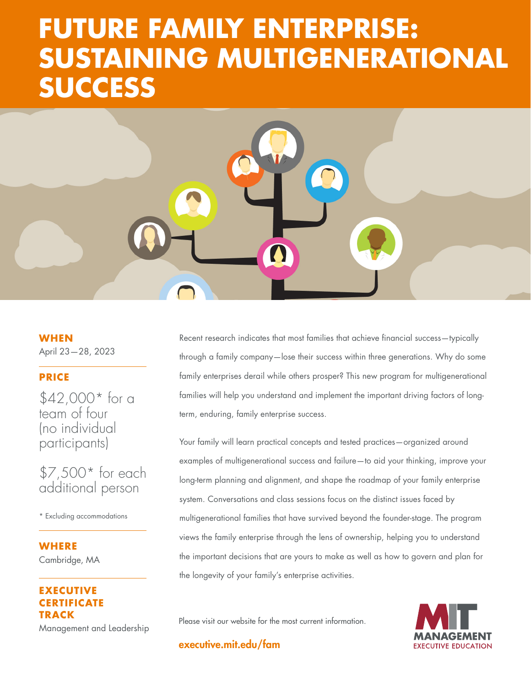# **SUSTAINING MULTIGENERATIONAL FUTURE FAMILY ENTERPRISE: SUCCESS**

**AND EMPLOYEES** 

**DELIVERING SUPERIOR SUPERIOR** 

**TO CUSTOMERS, SHAREHOLDERS,**

**WHEN** April 23—28, 2023

## **PRICE**

\$42,000\* for a team of four (no individual participants)

\$7,500\* for each additional person

\* Excluding accommodations

**WHERE**  Cambridge, MA

## **EXECUTIVE RTIFICATE TRACK**

Management and Leadership

Recent research indicates that most families that achieve financial success—typically through a family company—lose their success within three generations. Why do some family enterprises derail while others prosper? This new program for multigenerational families will help you understand and implement the important driving factors of longterm, enduring, family enterprise success.

Your family will learn practical concepts and tested practices—organized around examples of multigenerational success and failure—to aid your thinking, improve your long-term planning and alignment, and shape the roadmap of your family enterprise system. Conversations and class sessions focus on the distinct issues faced by multigenerational families that have survived beyond the founder-stage. The program views the family enterprise through the lens of ownership, helping you to understand the important decisions that are yours to make as well as how to govern and plan for the longevity of your family's enterprise activities.

Please visit our website for the most current information.

**EXECUTIVE EDUCATION** 

executive.mit.edu/fam